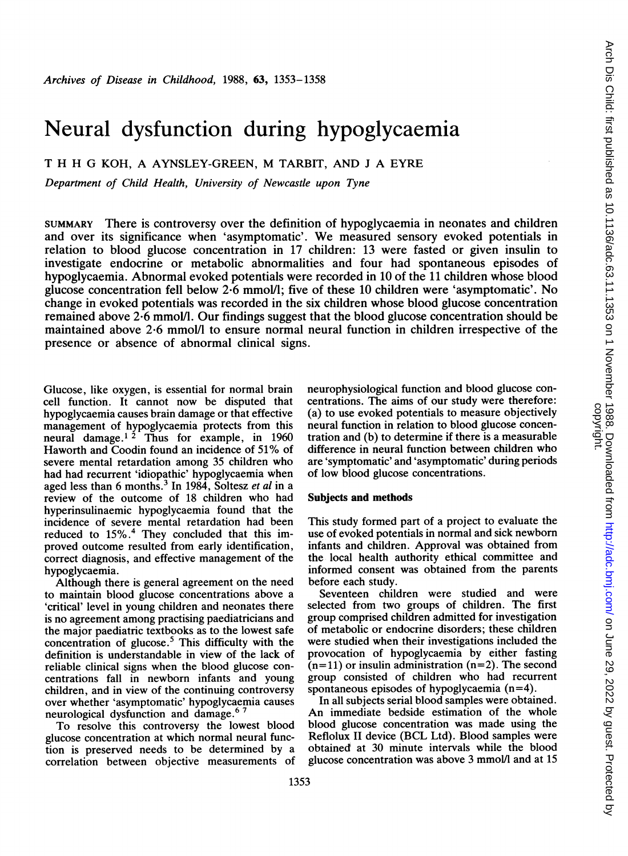# Neural dysfunction during hypoglycaemia

T H H G KOH, A AYNSLEY-GREEN, M TARBIT, AND <sup>J</sup> A EYRE

Department of Child Health, University of Newcastle upon Tyne

SUMMARY There is controversy over the definition of hypoglycaemia in neonates and children and over its significance when 'asymptomatic'. We measured sensory evoked potentials in relation to blood glucose concentration in 17 children: 13 were fasted or given insulin to investigate endocrine or metabolic abnormalities and four had spontaneous episodes of hypoglycaemia. Abnormal evoked potentials were recorded in <sup>10</sup> of the <sup>11</sup> children whose blood glucose concentration fell below 2\*6 mmol/I; five of these <sup>10</sup> children were 'asymptomatic'. No change in evoked potentials was recorded in the six children whose blood glucose concentration remained above 2-6 mmolIl. Our findings suggest that the blood glucose concentration should be maintained above 2-6 mmol/l to ensure normal neural function in children irrespective of the presence or absence of abnormal clinical signs.

Glucose, like oxygen, is essential for normal brain cell function. It cannot now be disputed that hypoglycaemia causes brain damage or that effective management of hypoglycaemia protects from this neural damage.<sup>12</sup> Thus for example, in 1960 Haworth and Coodin found an incidence of 51% of severe mental retardation among 35 children who had had recurrent 'idiopathic' hypoglycaemia when aged less than 6 months. $3 \text{ In } 1984$ , Soltesz *et al* in a review of the outcome of 18 children who had hyperinsulinaemic hypoglycaemia found that the incidence of severe mental retardation had been reduced to 15%.4 They concluded that this improved outcome resulted from early identification, correct diagnosis, and effective management of the hypoglycaemia.

Although there is general agreement on the need to maintain blood glucose concentrations above a 'critical' level in young children and neonates there is no agreement among practising paediatricians and the major paediatric textbooks as to the lowest safe concentration of glucose.<sup>5</sup> This difficulty with the definition is understandable in view of the lack of reliable clinical signs when the blood glucose concentrations fall in newborn infants and young children, and in view of the continuing controversy over whether 'asymptomatic' hypoglycaemia causes neurological dysfunction and damage.6 <sup>7</sup>

To resolve this controversy the lowest blood glucose concentration at which normal neural function is preserved needs to be determined by a correlation between objective measurements of neurophysiological function and blood glucose concentrations. The aims of our study were therefore: (a) to use evoked potentials to measure objectively neural function in relation to blood glucose concentration and (b) to determine if there is a measurable difference in neural function between children who are 'symptomatic' and 'asymptomatic' during periods of low blood glucose concentrations.

#### Subjects and methods

This study formed part of a project to evaluate the use of evoked potentials in normal and sick newborn infants and children. Approval was obtained from the local health authority ethical committee and informed consent was obtained from the parents before each study.

Seventeen children were studied and were selected from two groups of children. The first group comprised children admitted for investigation of metabolic or endocrine disorders; these children were studied when their investigations included the provocation of hypoglycaemia by either fasting  $(n=11)$  or insulin administration  $(n=2)$ . The second group consisted of children who had recurrent spontaneous episodes of hypoglycaemia  $(n=4)$ .

In all subjects serial blood samples were obtained. An immediate bedside estimation of the whole blood glucose concentration was made using the Reflolux II device (BCL Ltd). Blood samples were obtained at 30 minute intervals while the blood glucose concentration was above 3 mmol/l and at 15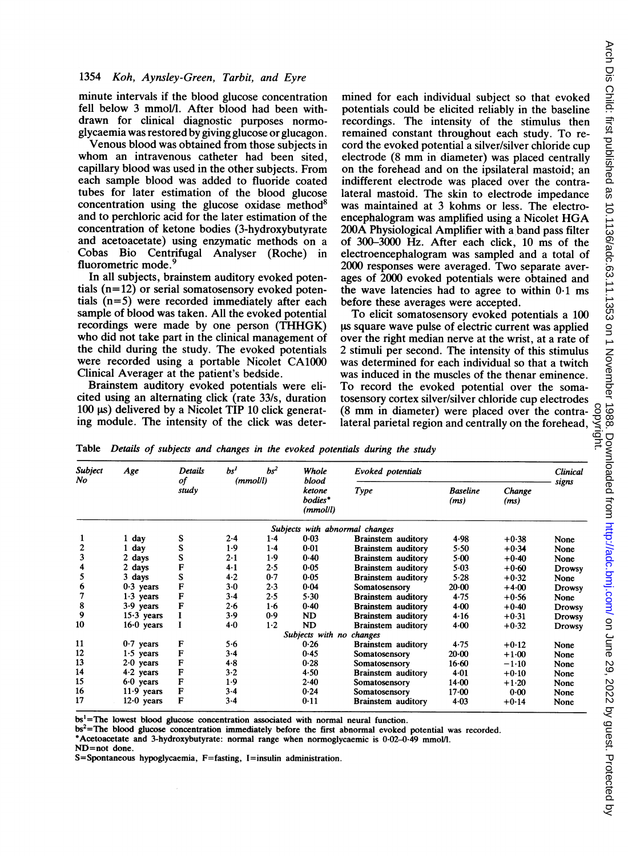#### 1354 Koh, Aynsley-Green, Tarbit, and Eyre

minute intervals if the blood glucose concentration fell below 3 mmol/l. After blood had been withdrawn for clinical diagnostic purposes normoglycaemia was restored by giving glucose or glucagon.

Venous blood was obtained from those subjects in whom an intravenous catheter had been sited, capillary blood was used in the other subjects. From each sample blood was added to fluoride coated tubes for later estimation of the blood glucose concentration using the glucose oxidase method<sup>8</sup> and to perchloric acid for the later estimation of the concentration of ketone bodies (3-hydroxybutyrate and acetoacetate) using enzymatic methods on a Cobas Bio Centrifugal Analyser (Roche) in fluorometric mode.<sup>9</sup>

In all subjects, brainstem auditory evoked potentials (n=12) or serial somatosensory evoked potentials (n=5) were recorded immediately after each sample of blood was taken. All the evoked potential recordings were made by one person (THHGK) who did not take part in the clinical management of the child during the study. The evoked potentials were recorded using a portable Nicolet CA1000 Clinical Averager at the patient's bedside.

Brainstem auditory evoked potentials were elicited using an alternating click (rate 33/s, duration 100  $\mu$ s) delivered by a Nicolet TIP 10 click generating module. The intensity of the click was deter-

mined for each individual subject so that evoked potentials could be elicited reliably in the baseline recordings. The intensity of the stimulus then remained constant throughout each study. To record the evoked potential a silver/silver chloride cup electrode (8 mm in diameter) was placed centrally on the forehead and on the ipsilateral mastoid; an indifferent electrode was placed over the contralateral mastoid. The skin to electrode impedance was maintained at 3 kohms or less. The electroencephalogram was amplified using <sup>a</sup> Nicolet HGA 200A Physiological Amplifier with a band pass filter of 300-3000 Hz. After each click, 10 ms of the electroencephalogram was sampled and a total of 2000 responses were averaged. Two separate averages of 2000 evoked potentials were obtained and the wave latencies had to agree to within 0-1 ms before these averages were accepted.

To elicit somatosensory evoked potentials a 100 ls square wave pulse of electric current was applied over the right median nerve at the wrist, at a rate of 2 stimuli per second. The intensity of this stimulus was determined for each individual so that a twitch was induced in the muscles of the thenar eminence. To record the evoked potential over the somatosensory cortex silver/silver chloride cup electrodes (8 mm in diameter) were placed over the contralateral parietal region and centrally on the forehead,

Table Details of subjects and changes in the evoked potentials during the study

| Subject<br>No | Age          | Details<br>of<br>study | $bs^2$<br>bs <sup>1</sup><br>(mmol/l) |       | Whole<br>blood                 | Evoked potentials         |                         |                | <b>Clinical</b><br>signs |
|---------------|--------------|------------------------|---------------------------------------|-------|--------------------------------|---------------------------|-------------------------|----------------|--------------------------|
|               |              |                        |                                       |       | ketone<br>bodies*<br>(mmol/l)  | Type                      | <b>Baseline</b><br>(ms) | Change<br>(ms) |                          |
|               |              |                        |                                       |       | Subjects with abnormal changes |                           |                         |                |                          |
|               | day          | S                      | $2-4$                                 | $1-4$ | $0 - 03$                       | <b>Brainstem</b> auditory | 4.98                    | $+0.38$        | None                     |
| 2             | day          | S                      | 1.9                                   | $1-4$ | $0 - 01$                       | <b>Brainstem</b> auditory | 5.50                    | $+0.34$        | None                     |
| 3             | 2 days       | S                      | 2.1                                   | 1.9   | 0.40                           | <b>Brainstem auditory</b> | $5-00$                  | $+0.40$        | None                     |
| 4             | 2 days       | F                      | 4.1                                   | 2.5   | 0.05                           | Brainstem auditory        | $5-03$                  | $+0.60$        | <b>Drowsy</b>            |
| 5             | 3 days       | S                      | 4.2                                   | 0.7   | $0 - 05$                       | <b>Brainstem auditory</b> | 5.28                    | $+0.32$        | None                     |
| 6             | $0.3$ years  | F                      | $3-0$                                 | 2.3   | 0.04                           | Somatosensory             | $20-00$                 | $+4.00$        | Drowsy                   |
| 7             | $1.3$ years  | F                      | $3-4$                                 | 2.5   | $5 - 30$                       | <b>Brainstem auditory</b> | 4.75                    | $+0.56$        | None                     |
| 8             | $3.9$ years  | F                      | 2.6                                   | $1-6$ | 0.40                           | <b>Brainstem</b> auditory | $4 - 00$                | $+0.40$        | <b>Drowsy</b>            |
| $\mathbf{9}$  | $15.3$ years |                        | 3.9                                   | 0.9   | ND                             | <b>Brainstem</b> auditory | 4.16                    | $+0.31$        | <b>Drowsy</b>            |
| 10            | $16.0$ years |                        | 4.0                                   | $1-2$ | ND                             | Brainstem auditory        | 4.00                    | $+0.32$        | <b>Drowsy</b>            |
|               |              |                        |                                       |       | Subjects with no               | changes                   |                         |                |                          |
| 11            | $0.7$ years  | F                      | 5.6                                   |       | 0.26                           | Brainstem auditory        | 4.75                    | $+0.12$        | None                     |
| 12            | $1.5$ years  | F                      | $3 - 4$                               |       | 0.45                           | Somatosensory             | $20-00$                 | $+1.00$        | None                     |
| 13            | $2-0$ years  | F                      | $4-8$                                 |       | 0.28                           | Somatosensory             | 16.60                   | $-1.10$        | None                     |
| 14            | $4.2$ years  | F                      | $3-2$                                 |       | 4.50                           | <b>Brainstem</b> auditory | $4 - 01$                | $+0.10$        | None                     |
| 15            | $6.0$ years  | F                      | 1.9                                   |       | $2 - 40$                       | Somatosensory             | 14.00                   | $+1.20$        | None                     |
| 16            | $11.9$ years | F                      | $3-4$                                 |       | 0.24                           | Somatosensory             | $17 - 00$               | 0.00           | None                     |
| 17            | $12.0$ years | F                      | $3-4$                                 |       | 0.11                           | Brainstem auditory        | 4.03                    | $+0.14$        | None                     |

bs<sup>1</sup>=The lowest blood glucose concentration associated with normal neural function.

bs<sup>2</sup>=The blood glucose concentration immediately before the first abnormal evoked potential was recorded.

\*Acetoacetate and 3-hydroxybutyrate: normal range when normoglycaemic is 0-02-0-49 mmol/l. ND=not done.

S=Spontaneous hypoglycaemia, F=fasting, I=insulin administration.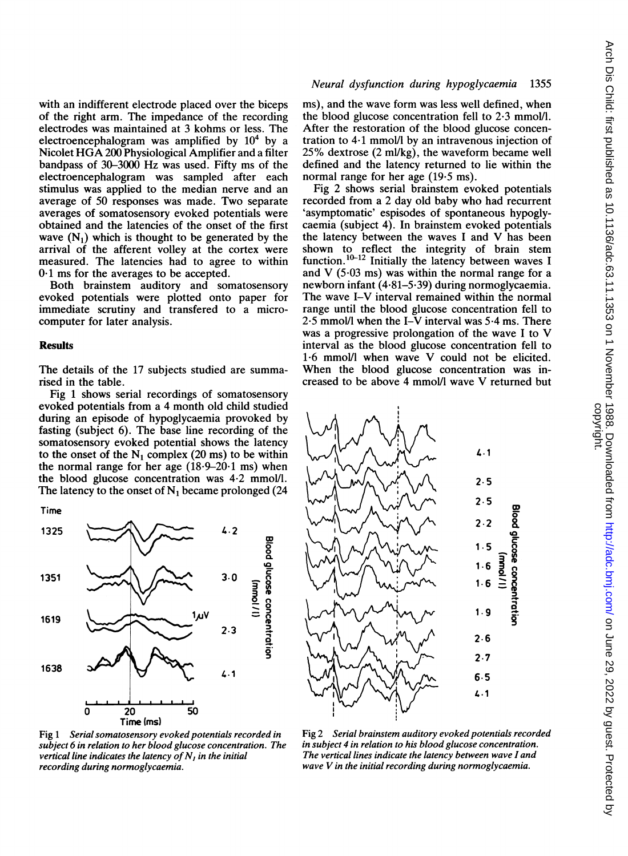with an indifferent electrode placed over the biceps of the right arm. The impedance of the recording electrodes was maintained at 3 kohms or less. The electroencephalogram was amplified by  $10<sup>4</sup>$  by a Nicolet HGA <sup>200</sup> Physiological Amplifier and <sup>a</sup> filter bandpass of 30-3000 Hz was used. Fifty ms of the electroencephalogram was sampled after each stimulus was applied to the median nerve and an average of 50 responses was made. Two separate averages of somatosensory evoked potentials were obtained and the latencies of the onset of the first wave  $(N_1)$  which is thought to be generated by the arrival of the afferent volley at the cortex were measured. The latencies had to agree to within  $0.1$  ms for the averages to be accepted.

Both brainstem auditory and somatosensory evoked potentials were plotted onto paper for immediate scrutiny and transfered to a microcomputer for later analysis.

#### **Results**

The details of the 17 subjects studied are summarised in the table.

Fig <sup>1</sup> shows serial recordings of somatosensory evoked potentials from a 4 month old child studied during an episode of hypoglycaemia provoked by fasting (subject 6). The base line recording of the somatosensory evoked potential shows the latency to the onset of the  $N_1$  complex (20 ms) to be within the normal range for her age  $(18.9-20.1 \text{ ms})$  when the blood glucose concentration was 4.2 mmol/l. The latency to the onset of  $N_1$  became prolonged (24

Time



Fig 1 Serial somatosensory evoked potentials recorded in subject 6 in relation to her blood glucose concentration. The vertical line indicates the latency of  $N<sub>1</sub>$  in the initial recording during normoglycaemia.

### Neural dysfunction during hypoglycaemia 1355

ms), and the wave form was less well defined, when the blood glucose concentration fell to  $2.3$  mmol/l. After the restoration of the blood glucose concentration to 4\*1 mmol/l by an intravenous injection of 25% dextrose (2 ml/kg), the waveform became well defined and the latency returned to lie within the normal range for her age (19-5 ms).

Fig 2 shows serial brainstem evoked potentials recorded from a 2 day old baby who had recurrent 'asymptomatic' espisodes of spontaneous hypoglycaemia (subject 4). In brainstem evoked potentials the latency between the waves <sup>I</sup> and V has been shown to reflect the integrity of brain stem function.<sup>10-12</sup> Initially the latency between waves I and V  $(5.03 \text{ ms})$  was within the normal range for a newborn infant (4-81-5.39) during normoglycaemia. The wave I-V interval remained within the normal range until the blood glucose concentration fell to  $2.5$  mmol/l when the I-V interval was  $5.4$  ms. There was <sup>a</sup> progressive prolongation of the wave <sup>I</sup> to V interval as the blood glucose concentration fell to  $1.6$  mmol/l when wave V could not be elicited. When the blood glucose concentration was increased to be above <sup>4</sup> mmoIIl wave V returned but



Fig 2 Serial brainstem auditory evoked potentials recorded in subject 4 in relation to his blood glucose concentration. The vertical lines indicate the latency between wave I and wave V in the initial recording during normoglycaemia.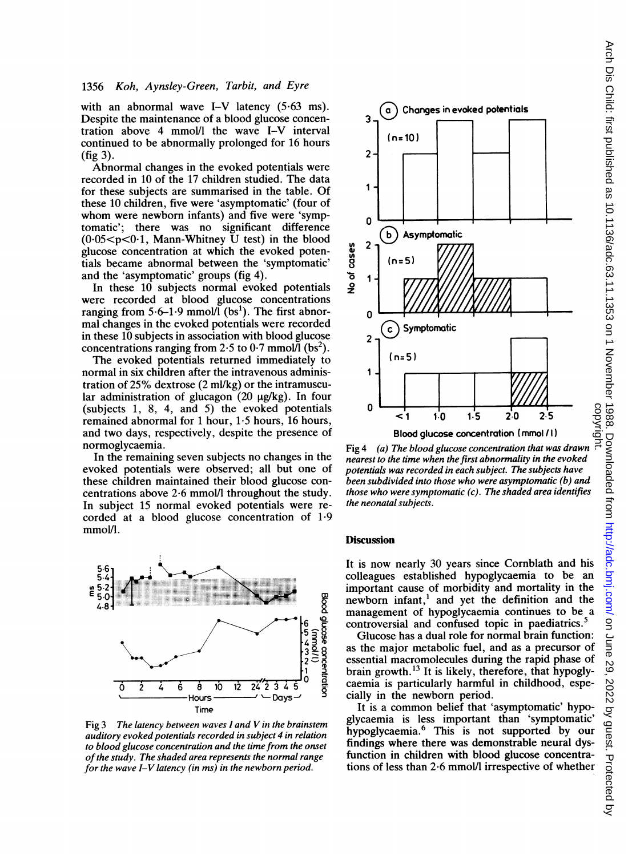#### 1356 Koh, Aynsley-Green, Tarbit, and Eyre

with an abnormal wave I-V latency  $(5.63 \text{ ms})$ . Despite the maintenance of a blood glucose concentration above 4 mmol/l the wave I-V interval continued to be abnormally prolonged for 16 hours (fig 3).

Abnormal changes in the evoked potentials were recorded in 10 of the 17 children studied. The data for these subjects are summarised in the table. Of these 10 children, five were 'asymptomatic' (four of whom were newborn infants) and five were 'symptomatic'; there was no significant difference  $(0.05 < p < 0.1$ , Mann-Whitney U test) in the blood glucose concentration at which the evoked potentials became abnormal between the 'symptomatic' and the 'asymptomatic' groups (fig 4).

In these 10 subjects normal evoked potentials were recorded at blood glucose concentrations ranging from  $5.6-1.9$  mmol/l (bs<sup>1</sup>). The first abnormal changes in the evoked potentials were recorded in these 10 subjects in association with blood glucose concentrations ranging from 2.5 to 0.7 mmol $\overline{I}$  (bs<sup>2</sup>).

The evoked potentials returned immediately to normal in six children after the intravenous administration of 25% dextrose (2 ml/kg) or the intramuscular administration of glucagon  $(20 \mu g/kg)$ . In four (subjects 1, 8, 4, and 5) the evoked potentials remained abnormal for <sup>1</sup> hour, 1-5 hours, 16 hours, and two days, respectively, despite the presence of normoglycaemia.

In the remaining seven subjects no changes in the evoked potentials were observed; all but one of these children maintained their blood glucose concentrations above  $2.6 \text{ mmol/l}$  throughout the study. In subject 15 normal evoked potentials were recorded at a blood glucose concentration of 1-9 mmol/l.



Fig 3 The latency between waves I and V in the brainstem auditory evoked potentials recorded in subject 4 in relation to blood glucose concentration and the time from the onset of the study. The shaded area represents the normal range for the wave  $I-V$  latency (in ms) in the newborn period.



nearest to the time when the first abnormality in the evoked potentials was recorded in each subject. The subjects have been subdivided into those who were asymptomatic (b) and those who were symptomatic  $(c)$ . The shaded area identifies the neonatal subjects.

#### **Discussion**

It is now nearly 30 years since Cornblath and his colleagues established hypoglycaemia to be an important cause of morbidity and mortality in the newborn infant,<sup>1</sup> and yet the definition and the management of hypoglycaemia continues to be a controversial and confused topic in paediatrics.<sup>5</sup>

Glucose has a dual role for normal brain function: as the major metabolic fuel, and as a precursor of essential macromolecules during the rapid phase of brain growth. $^{13}$  It is likely, therefore, that hypoglycaemia is particularly harmful in childhood, especially in the newborn period.

It is a common belief that 'asymptomatic' hypoglycaemia is less important than 'symptomatic' hypoglycaemia.6 This is not supported by our findings where there was demonstrable neural dysfunction in children with blood glucose concentra-<br>tions of less than 2.6 mmol/l irrespective of whether 1.1 1.0 1.5 2.0 2.5 5<br>
Blood glucose concentration (mmol /1)<br>
Fig 4 (a) The blood glucose concentration that was drawn<br>
mearest to the time when the first abnormality in the evoked<br>
potentials was recorded in each subject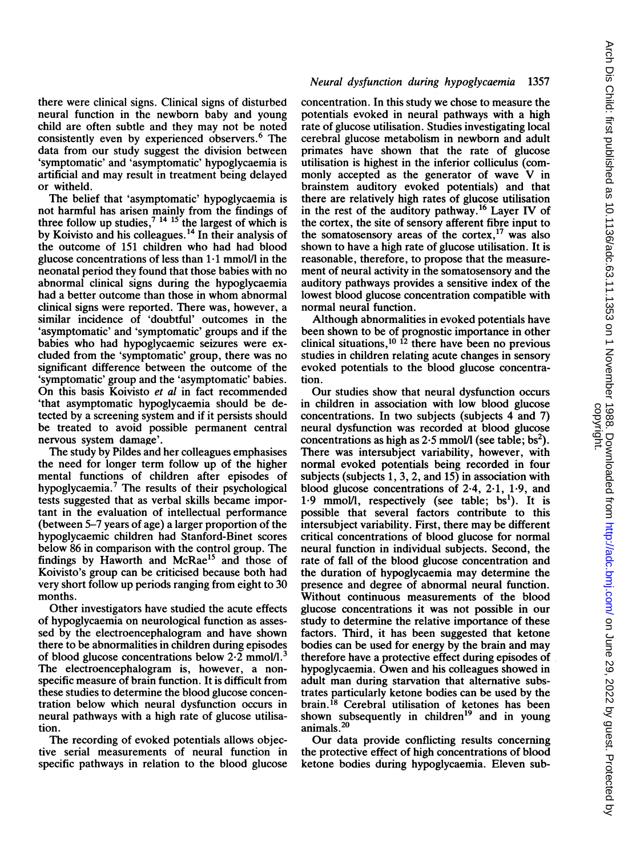Arch Dis Child: first published as 10.1136/adc.63.11.1353 on 1 November 1988. Downloaded from http://adc.bmj.com/ on June 29, 2022 by guest. Protected by<br>copyright. Arch Dis Child: first published as 10.1136/adc.63.11.1353 on 1 November 1988. Downloaded from Lownloaded from Dis Child: first pune 29, 2022 by guest. Protected by

there were clinical signs. Clinical signs of disturbed neural function in the newborn baby and young child are often subtle and they may not be noted consistently even by experienced observers.<sup>6</sup> The data from our study suggest the division between 'symptomatic' and 'asymptomatic' hypoglycaemia is artificial and may result in treatment being delayed or witheld.

The belief that 'asymptomatic' hypoglycaemia is not harmful has arisen mainly from the findings of three follow up studies,  $14^{4}$   $15$  the largest of which is by Koivisto and his colleagues.<sup>14</sup> In their analysis of the outcome of 151 children who had had blood glucose concentrations of less than 1-1 mmol/I in the neonatal period they found that those babies with no abnormal clinical signs during the hypoglycaemia had <sup>a</sup> better outcome than those in whom abnormal clinical signs were reported. There was, however, a similar incidence of 'doubtful' outcomes in the 'asymptomatic' and 'symptomatic' groups and if the babies who had hypoglycaemic seizures were excluded from the 'symptomatic' group, there was no significant difference between the outcome of the 'symptomatic' group and the 'asymptomatic' babies. On this basis Koivisto et al in fact recommended 'that asymptomatic hypoglycaemia should be detected by a screening system and if it persists should be treated to avoid possible permanent central nervous system damage'.

The study by Pildes and her colleagues emphasises the need for longer term follow up of the higher mental functions of children after episodes of hypoglycaemia.7 The results of their psychological tests suggested that as verbal skills became important in the evaluation of intellectual performance (between 5-7 years of age) a larger proportion of the hypoglycaemic children had Stanford-Binet scores below 86 in comparison with the control group. The findings by Haworth and McRae<sup>15</sup> and those of Koivisto's group can be criticised because both had very short follow up periods ranging from eight to 30 months.

Other investigators have studied the acute effects of hypoglycaemia on neurological function as assessed by the electroencephalogram and have shown there to be abnormalities in children during episodes of blood glucose concentrations below  $2\cdot\tilde{2}$  mmol/l.<sup>3</sup> The electroencephalogram is, however, a nonspecific measure of brain function. It is difficult from these studies to determine the blood glucose concentration below which neural dysfunction occurs in neural pathways with a high rate of glucose utilisation.

The recording of evoked potentials allows objective serial measurements of neural function in specific pathways in relation to the blood glucose

# Neural dysfunction during hypoglycaemia 1357

concentration. In this study we chose to measure the potentials evoked in neural pathways with a high rate of glucose utilisation. Studies investigating local cerebral glucose metabolism in newborn and adult primates have shown that the rate of glucose utilisation is highest in the inferior colliculus (commonly accepted as the generator of wave V in brainstem auditory evoked potentials) and that there are relatively high rates of glucose utilisation in the rest of the auditory pathway.16 Layer IV of the cortex, the site of sensory afferent fibre input to the somatosensory areas of the cortex, $17$  was also shown to have a high rate of glucose utilisation. It is reasonable, therefore, to propose that the measurement of neural activity in the somatosensory and the auditory pathways provides a sensitive index of the lowest blood glucose concentration compatible with normal neural function.

Although abnormalities in evoked potentials have been shown to be of prognostic importance in other clinical situations,  $10^{12}$  there have been no previous studies in children relating acute changes in sensory evoked potentials to the blood glucose concentration.

Our studies show that neural dysfunction occurs in children in association with low blood glucose concentrations. In two subjects (subjects 4 and 7) neural dysfunction was recorded at blood glucose concentrations as high as  $2.5$  mmol/l (see table; bs<sup>2</sup>). There was intersubject variability, however, with normal evoked potentials being recorded in four subjects (subjects 1, 3, 2, and  $15$ ) in association with blood glucose concentrations of 2-4, 2-1, 1-9, and  $1.9 \text{ mmol/l}$ , respectively (see table; bs<sup>1</sup>). It is possible that several factors contribute to this intersubject variability. First, there may be different critical concentrations of blood glucose for normal neural function in individual subjects. Second, the rate of fall of the blood glucose concentration and the duration of hypoglycaemia may determine the presence and degree of abnormal neural function. Without continuous measurements of the blood glucose concentrations it was not possible in our study to determine the relative importance of these factors. Third, it has been suggested that ketone bodies can be used for energy by the brain and may therefore have a protective effect during episodes of hypoglycaemia. Owen and his colleagues showed in adult man during starvation that alternative substrates particularly ketone bodies can be used by the brain.18 Cerebral utilisation of ketones has been shown subsequently in children<sup>19</sup> and in young animals.<sup>20</sup>

Our data provide conflicting results concerning the protective effect of high concentrations of blood ketone bodies during hypoglycaemia. Eleven sub-